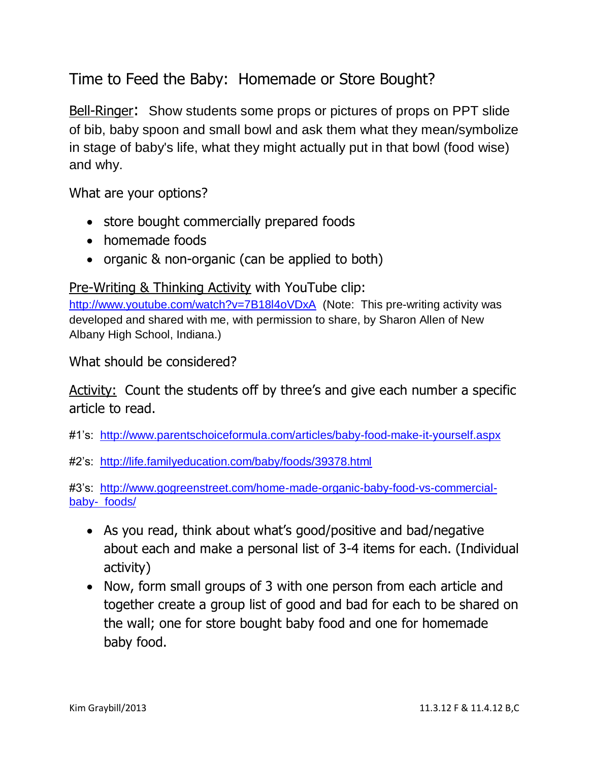Time to Feed the Baby: Homemade or Store Bought?

Bell-Ringer: Show students some props or pictures of props on PPT slide of bib, baby spoon and small bowl and ask them what they mean/symbolize in stage of baby's life, what they might actually put in that bowl (food wise) and why.

What are your options?

- store bought commercially prepared foods
- homemade foods
- organic & non-organic (can be applied to both)

Pre-Writing & Thinking Activity with YouTube clip:

<http://www.youtube.com/watch?v=7B18l4oVDxA>(Note: This pre-writing activity was developed and shared with me, with permission to share, by Sharon Allen of New Albany High School, Indiana.)

What should be considered?

Activity: Count the students off by three's and give each number a specific article to read.

#1's: <http://www.parentschoiceformula.com/articles/baby-food-make-it-yourself.aspx>

#2's: <http://life.familyeducation.com/baby/foods/39378.html>

#3's: [http://www.gogreenstreet.com/home-made-organic-baby-food-vs-commercial](http://www.gogreenstreet.com/home-made-organic-baby-food-vs-commercial-baby-%20%20foods/)[baby- foods/](http://www.gogreenstreet.com/home-made-organic-baby-food-vs-commercial-baby-%20%20foods/)

- As you read, think about what's good/positive and bad/negative about each and make a personal list of 3-4 items for each. (Individual activity)
- Now, form small groups of 3 with one person from each article and together create a group list of good and bad for each to be shared on the wall; one for store bought baby food and one for homemade baby food.